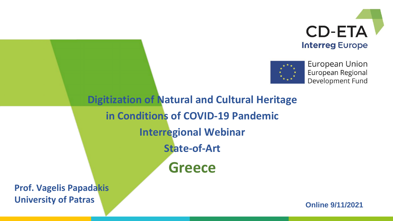



**European Union** European Regional Development Fund

**Digitization of Natural and Cultural Heritage in Conditions of COVID-19 Pandemic Interregional Webinar State-of-Art Greece**

**Prof. Vagelis Papadakis University of Patras**

**Online 9/11/2021**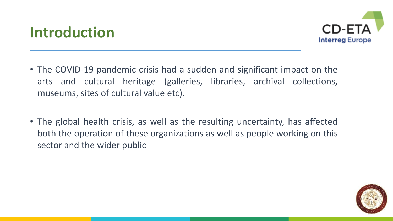



- The COVID-19 pandemic crisis had a sudden and significant impact on the arts and cultural heritage (galleries, libraries, archival collections, museums, sites of cultural value etc).
- The global health crisis, as well as the resulting uncertainty, has affected both the operation of these organizations as well as people working on this sector and the wider public

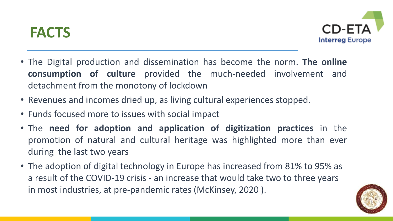#### **FACTS**



- The Digital production and dissemination has become the norm. **The online consumption of culture** provided the much-needed involvement and detachment from the monotony of lockdown
- Revenues and incomes dried up, as living cultural experiences stopped.
- Funds focused more to issues with social impact
- The **need for adoption and application of digitization practices** in the promotion of natural and cultural heritage was highlighted more than ever during the last two years
- The adoption of digital technology in Europe has increased from 81% to 95% as a result of the COVID-19 crisis - an increase that would take two to three years in most industries, at pre-pandemic rates (McKinsey, 2020 ).

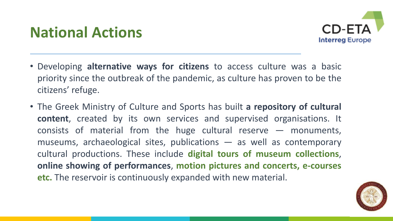#### **National Actions**



- Developing **alternative ways for citizens** to access culture was a basic priority since the outbreak of the pandemic, as culture has proven to be the citizens' refuge.
- The Greek Ministry of Culture and Sports has built **a repository of cultural content**, created by its own services and supervised organisations. It consists of material from the huge cultural reserve — monuments, museums, archaeological sites, publications — as well as contemporary cultural productions. These include **digital tours of museum collections**, **online showing of performances**, **motion pictures and concerts, e-courses etc.** The reservoir is continuously expanded with new material.

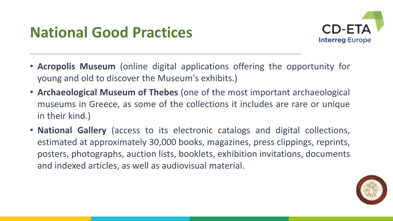## **National Good Practices**



- **Acropolis Museum** (online digital applications offering the opportunity for young and old to discover the Museum's exhibits.)
- **Archaeological Museum of Thebes** (one of the most important archaeological museums in Greece, as some of the collections it includes are rare or unique in their kind.)
- **National Gallery** (access to its electronic catalogs and digital collections, estimated at approximately 30,000 books, magazines, press clippings, reprints, posters, photographs, auction lists, booklets, exhibition invitations, documents and indexed articles, as well as audiovisual material.

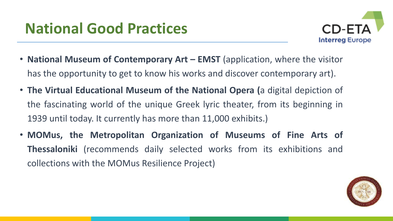## **National Good Practices**



- **National Museum of Contemporary Art – EMST** (application, where the visitor has the opportunity to get to know his works and discover contemporary art).
- **The Virtual Educational Museum of the National Opera (**a digital depiction of the fascinating world of the unique Greek lyric theater, from its beginning in 1939 until today. It currently has more than 11,000 exhibits.)
- **MOMus, the Metropolitan Organization of Museums of Fine Arts of Thessaloniki** (recommends daily selected works from its exhibitions and collections with the MOMus Resilience Project)

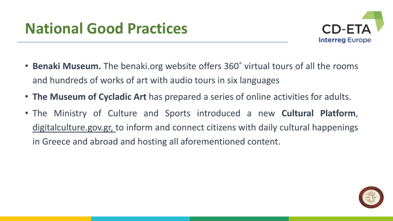

- **Benaki Museum.** The benaki.org website offers 360˚ virtual tours of all the rooms and hundreds of works of art with audio tours in six languages
- **The Museum of Cycladic Art** has prepared a series of online activities for adults.
- The Ministry of Culture and Sports introduced a new **Cultural Platform**, digitalculture.gov.gr, to inform and connect citizens with daily cultural happenings in Greece and abroad and hosting all aforementioned content.

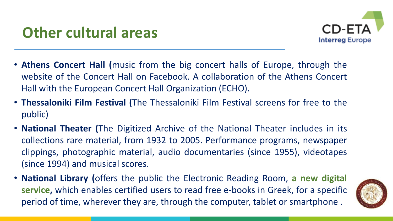

- **Athens Concert Hall (**music from the big concert halls of Europe, through the website of the Concert Hall on Facebook. A collaboration of the Athens Concert Hall with the European Concert Hall Organization (ECHO).
- **Thessaloniki Film Festival (**The Thessaloniki Film Festival screens for free to the public)
- **National Theater (**The Digitized Archive of the National Theater includes in its collections rare material, from 1932 to 2005. Performance programs, newspaper clippings, photographic material, audio documentaries (since 1955), videotapes (since 1994) and musical scores.
- **National Library (**offers the public the Electronic Reading Room, **a new digital service,** which enables certified users to read free e-books in Greek, for a specific period of time, wherever they are, through the computer, tablet or smartphone .

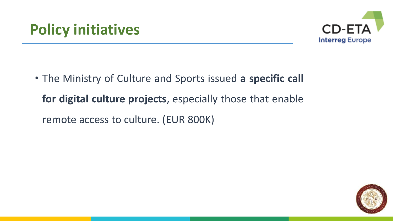

• Τhe Ministry of Culture and Sports issued **a specific call for digital culture projects**, especially those that enable remote access to culture. (EUR 800K)

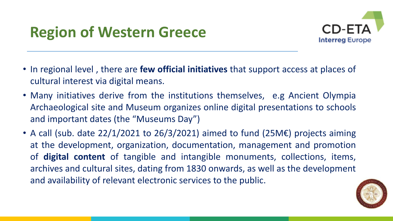# **Region of Western Greece**



- In regional level , there are **few official initiatives** that support access at places of cultural interest via digital means.
- Many initiatives derive from the institutions themselves, e.g Ancient Olympia Archaeological site and Museum organizes online digital presentations to schools and important dates (the "Museums Day")
- A call (sub. date 22/1/2021 to 26/3/2021) aimed to fund (25M€) projects aiming at the development, organization, documentation, management and promotion of **digital content** of tangible and intangible monuments, collections, items, archives and cultural sites, dating from 1830 onwards, as well as the development and availability of relevant electronic services to the public.

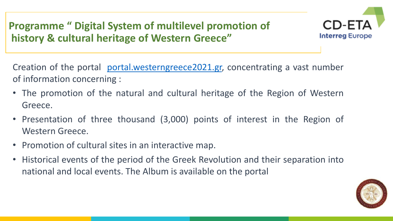**Programme " Digital System of multilevel promotion of history & cultural heritage of Western Greece"**



Creation of the portal [portal.westerngreece2021.gr,](https://portal.westerngreece2021.gr/) concentrating a vast number of information concerning :

- The promotion of the natural and cultural heritage of the Region of Western Greece.
- Presentation of three thousand (3,000) points of interest in the Region of Western Greece.
- Promotion of cultural sites in an interactive map.
- Historical events of the period of the Greek Revolution and their separation into national and local events. The Album is available on the portal